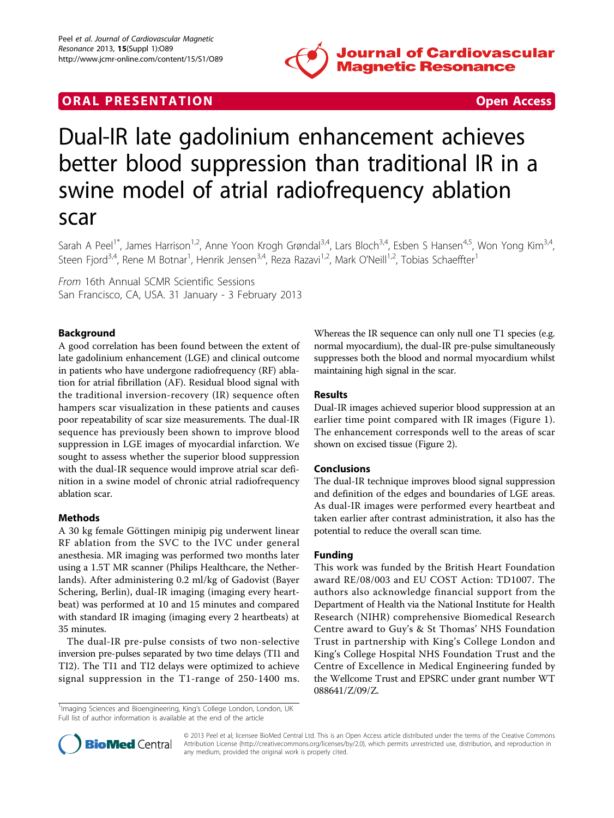

## **ORAL PRESENTATION CONSUMING ACCESS**



# Dual-IR late gadolinium enhancement achieves better blood suppression than traditional IR in a swine model of atrial radiofrequency ablation scar

Sarah A Peel<sup>1\*</sup>, James Harrison<sup>1,2</sup>, Anne Yoon Krogh Grøndal<sup>3,4</sup>, Lars Bloch<sup>3,4</sup>, Esben S Hansen<sup>4,5</sup>, Won Yong Kim<sup>3,4</sup>, Steen Fjord<sup>3,4</sup>, Rene M Botnar<sup>1</sup>, Henrik Jensen<sup>3,4</sup>, Reza Razavi<sup>1,2</sup>, Mark O'Neill<sup>1,2</sup>, Tobias Schaeffter<sup>1</sup>

From 16th Annual SCMR Scientific Sessions San Francisco, CA, USA. 31 January - 3 February 2013

### Background

A good correlation has been found between the extent of late gadolinium enhancement (LGE) and clinical outcome in patients who have undergone radiofrequency (RF) ablation for atrial fibrillation (AF). Residual blood signal with the traditional inversion-recovery (IR) sequence often hampers scar visualization in these patients and causes poor repeatability of scar size measurements. The dual-IR sequence has previously been shown to improve blood suppression in LGE images of myocardial infarction. We sought to assess whether the superior blood suppression with the dual-IR sequence would improve atrial scar definition in a swine model of chronic atrial radiofrequency ablation scar.

#### Methods

A 30 kg female Göttingen minipig pig underwent linear RF ablation from the SVC to the IVC under general anesthesia. MR imaging was performed two months later using a 1.5T MR scanner (Philips Healthcare, the Netherlands). After administering 0.2 ml/kg of Gadovist (Bayer Schering, Berlin), dual-IR imaging (imaging every heartbeat) was performed at 10 and 15 minutes and compared with standard IR imaging (imaging every 2 heartbeats) at 35 minutes.

The dual-IR pre-pulse consists of two non-selective inversion pre-pulses separated by two time delays (TI1 and TI2). The TI1 and TI2 delays were optimized to achieve signal suppression in the T1-range of 250-1400 ms. Whereas the IR sequence can only null one T1 species (e.g. normal myocardium), the dual-IR pre-pulse simultaneously suppresses both the blood and normal myocardium whilst maintaining high signal in the scar.

#### Results

Dual-IR images achieved superior blood suppression at an earlier time point compared with IR images (Figure [1](#page-1-0)). The enhancement corresponds well to the areas of scar shown on excised tissue (Figure [2](#page-1-0)).

#### Conclusions

The dual-IR technique improves blood signal suppression and definition of the edges and boundaries of LGE areas. As dual-IR images were performed every heartbeat and taken earlier after contrast administration, it also has the potential to reduce the overall scan time.

#### Funding

This work was funded by the British Heart Foundation award RE/08/003 and EU COST Action: TD1007. The authors also acknowledge financial support from the Department of Health via the National Institute for Health Research (NIHR) comprehensive Biomedical Research Centre award to Guy's & St Thomas' NHS Foundation Trust in partnership with King's College London and King's College Hospital NHS Foundation Trust and the Centre of Excellence in Medical Engineering funded by the Wellcome Trust and EPSRC under grant number WT 088641/Z/09/Z.

<sup>1</sup>Imaging Sciences and Bioengineering, King's College London, London, UK Full list of author information is available at the end of the article



© 2013 Peel et al; licensee BioMed Central Ltd. This is an Open Access article distributed under the terms of the Creative Commons Attribution License [\(http://creativecommons.org/licenses/by/2.0](http://creativecommons.org/licenses/by/2.0)), which permits unrestricted use, distribution, and reproduction in any medium, provided the original work is properly cited.